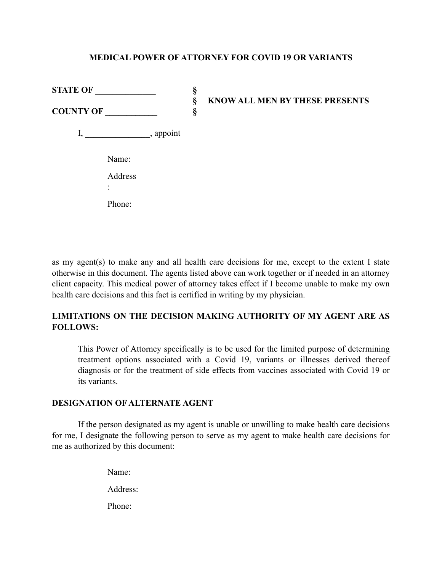## **MEDICAL POWER OF ATTORNEY FOR COVID 19 OR VARIANTS**

| <b>STATE OF</b>                                                 | §      | <b>KNOW ALL MEN BY THESE PRESENTS</b> |
|-----------------------------------------------------------------|--------|---------------------------------------|
| <b>COUNTY OF</b>                                                | §<br>§ |                                       |
| $\frac{1}{\sqrt{2}}$ , appoint<br>$I, \underline{\hspace{2cm}}$ |        |                                       |
| Name:                                                           |        |                                       |
| Address                                                         |        |                                       |
| Phone:                                                          |        |                                       |

as my agent(s) to make any and all health care decisions for me, except to the extent I state otherwise in this document. The agents listed above can work together or if needed in an attorney client capacity. This medical power of attorney takes effect if I become unable to make my own health care decisions and this fact is certified in writing by my physician.

# **LIMITATIONS ON THE DECISION MAKING AUTHORITY OF MY AGENT ARE AS FOLLOWS:**

This Power of Attorney specifically is to be used for the limited purpose of determining treatment options associated with a Covid 19, variants or illnesses derived thereof diagnosis or for the treatment of side effects from vaccines associated with Covid 19 or its variants.

## **DESIGNATION OF ALTERNATE AGENT**

If the person designated as my agent is unable or unwilling to make health care decisions for me, I designate the following person to serve as my agent to make health care decisions for me as authorized by this document:

> Name: Address: Phone: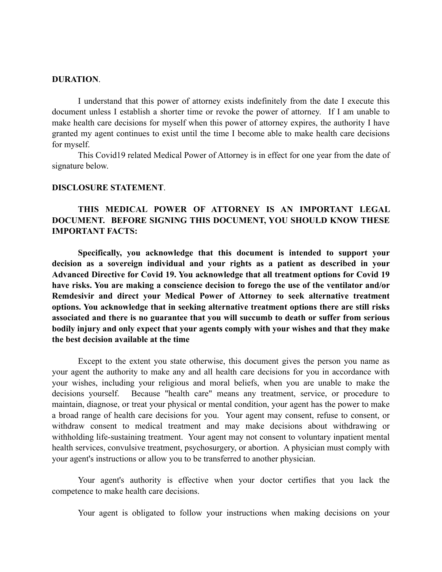#### **DURATION**.

I understand that this power of attorney exists indefinitely from the date I execute this document unless I establish a shorter time or revoke the power of attorney. If I am unable to make health care decisions for myself when this power of attorney expires, the authority I have granted my agent continues to exist until the time I become able to make health care decisions for myself.

This Covid19 related Medical Power of Attorney is in effect for one year from the date of signature below.

### **DISCLOSURE STATEMENT**.

# **THIS MEDICAL POWER OF ATTORNEY IS AN IMPORTANT LEGAL DOCUMENT. BEFORE SIGNING THIS DOCUMENT, YOU SHOULD KNOW THESE IMPORTANT FACTS:**

**Specifically, you acknowledge that this document is intended to support your decision as a sovereign individual and your rights as a patient as described in your Advanced Directive for Covid 19. You acknowledge that all treatment options for Covid 19 have risks. You are making a conscience decision to forego the use of the ventilator and/or Remdesivir and direct your Medical Power of Attorney to seek alternative treatment options. You acknowledge that in seeking alternative treatment options there are still risks associated and there is no guarantee that you will succumb to death or suffer from serious bodily injury and only expect that your agents comply with your wishes and that they make the best decision available at the time** 

Except to the extent you state otherwise, this document gives the person you name as your agent the authority to make any and all health care decisions for you in accordance with your wishes, including your religious and moral beliefs, when you are unable to make the decisions yourself. Because "health care" means any treatment, service, or procedure to maintain, diagnose, or treat your physical or mental condition, your agent has the power to make a broad range of health care decisions for you. Your agent may consent, refuse to consent, or withdraw consent to medical treatment and may make decisions about withdrawing or withholding life-sustaining treatment. Your agent may not consent to voluntary inpatient mental health services, convulsive treatment, psychosurgery, or abortion. A physician must comply with your agent's instructions or allow you to be transferred to another physician.

Your agent's authority is effective when your doctor certifies that you lack the competence to make health care decisions.

Your agent is obligated to follow your instructions when making decisions on your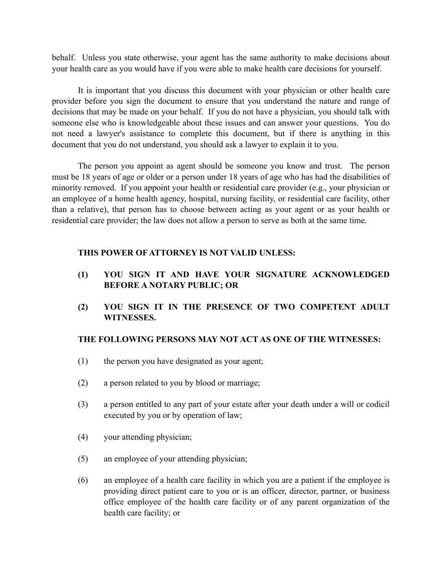behalf. Unless you state otherwise, your agent has the same authority to make decisions about your health care as you would have if you were able to make health care decisions for yourself.

It is important that you discuss this document with your physician or other health care provider before you sign the document to ensure that you understand the nature and range of decisions that may be made on your behalf. If you do not have a physician, you should talk with someone else who is knowledgeable about these issues and can answer your questions. You do not need a lawyer's assistance to complete this document, but if there is anything in this document that you do not understand, you should ask a lawyer to explain it to you.

The person you appoint as agent should be someone you know and trust. The person must be 18 years of age or older or a person under 18 years of age who has had the disabilities of minority removed. If you appoint your health or residential care provider (e.g., your physician or an employee of a home health agency, hospital, nursing facility, or residential care facility, other than a relative), that person has to choose between acting as your agent or as your health or residential care provider; the law does not allow a person to serve as both at the same time.

### **THIS POWER OF ATTORNEY IS NOT VALID UNLESS:**

- **(1) YOU SIGN IT AND HAVE YOUR SIGNATURE ACKNOWLEDGED BEFORE A NOTARY PUBLIC; OR**
- **(2) YOU SIGN IT IN THE PRESENCE OF TWO COMPETENT ADULT WITNESSES.**

## **THE FOLLOWING PERSONS MAY NOT ACT AS ONE OF THE WITNESSES:**

- (1) the person you have designated as your agent;
- (2) a person related to you by blood or marriage;
- (3) a person entitled to any part of your estate after your death under a will or codicil executed by you or by operation of law;
- (4) your attending physician;
- (5) an employee of your attending physician;
- (6) an employee of a health care facility in which you are a patient if the employee is providing direct patient care to you or is an officer, director, partner, or business office employee of the health care facility or of any parent organization of the health care facility; or